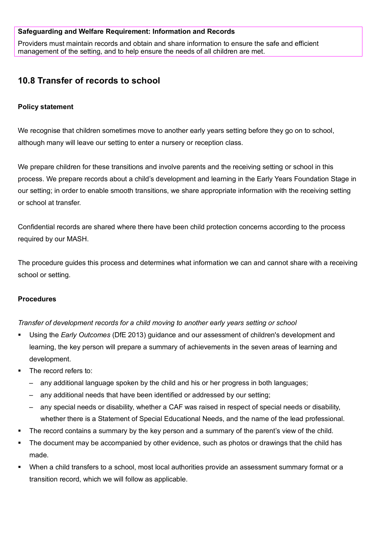### **Safeguarding and Welfare Requirement: Information and Records**

Providers must maintain records and obtain and share information to ensure the safe and efficient management of the setting, and to help ensure the needs of all children are met.

# **10.8 Transfer of records to school**

### **Policy statement**

We recognise that children sometimes move to another early years setting before they go on to school, although many will leave our setting to enter a nursery or reception class.

We prepare children for these transitions and involve parents and the receiving setting or school in this process. We prepare records about a child's development and learning in the Early Years Foundation Stage in our setting; in order to enable smooth transitions, we share appropriate information with the receiving setting or school at transfer.

Confidential records are shared where there have been child protection concerns according to the process required by our MASH.

The procedure guides this process and determines what information we can and cannot share with a receiving school or setting.

## **Procedures**

*Transfer of development records for a child moving to another early years setting or school*

- Using the *Early Outcomes* (DfE 2013) guidance and our assessment of children's development and learning, the key person will prepare a summary of achievements in the seven areas of learning and development.
- The record refers to:
	- any additional language spoken by the child and his or her progress in both languages;
	- any additional needs that have been identified or addressed by our setting;
	- any special needs or disability, whether a CAF was raised in respect of special needs or disability, whether there is a Statement of Special Educational Needs, and the name of the lead professional.
- The record contains a summary by the key person and a summary of the parent's view of the child.
- The document may be accompanied by other evidence, such as photos or drawings that the child has made.
- When a child transfers to a school, most local authorities provide an assessment summary format or a transition record, which we will follow as applicable.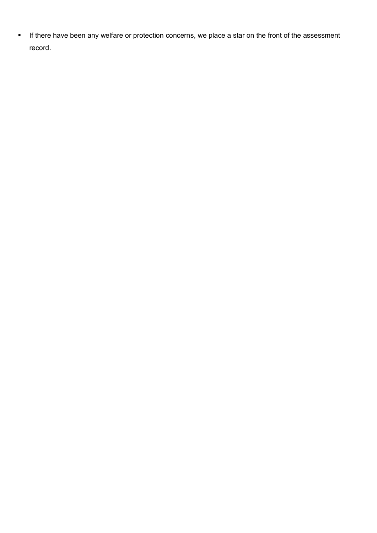**If there have been any welfare or protection concerns, we place a star on the front of the assessment** record.